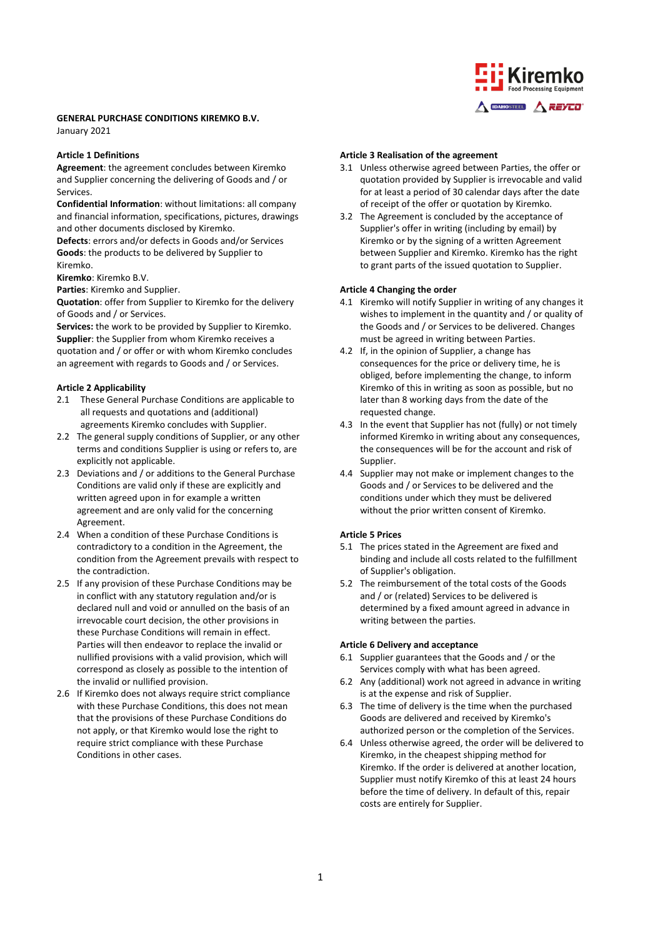# **GENERAL PURCHASE CONDITIONS KIREMKO B.V.**

January 2021

### **Article 1 Definitions**

**Agreement**: the agreement concludes between Kiremko and Supplier concerning the delivering of Goods and / or Services.

**Confidential Information**: without limitations: all company and financial information, specifications, pictures, drawings and other documents disclosed by Kiremko.

**Defects**: errors and/or defects in Goods and/or Services **Goods**: the products to be delivered by Supplier to Kiremko.

**Kiremko**: Kiremko B.V.

**Parties**: Kiremko and Supplier.

**Quotation**: offer from Supplier to Kiremko for the delivery of Goods and / or Services.

**Services:** the work to be provided by Supplier to Kiremko. **Supplier**: the Supplier from whom Kiremko receives a quotation and / or offer or with whom Kiremko concludes an agreement with regards to Goods and / or Services.

# **Article 2 Applicability**

- 2.1 These General Purchase Conditions are applicable to all requests and quotations and (additional) agreements Kiremko concludes with Supplier.
- 2.2 The general supply conditions of Supplier, or any other terms and conditions Supplier is using or refers to, are explicitly not applicable.
- 2.3 Deviations and / or additions to the General Purchase Conditions are valid only if these are explicitly and written agreed upon in for example a written agreement and are only valid for the concerning Agreement.
- 2.4 When a condition of these Purchase Conditions is contradictory to a condition in the Agreement, the condition from the Agreement prevails with respect to the contradiction.
- 2.5 If any provision of these Purchase Conditions may be in conflict with any statutory regulation and/or is declared null and void or annulled on the basis of an irrevocable court decision, the other provisions in these Purchase Conditions will remain in effect. Parties will then endeavor to replace the invalid or nullified provisions with a valid provision, which will correspond as closely as possible to the intention of the invalid or nullified provision.
- 2.6 If Kiremko does not always require strict compliance with these Purchase Conditions, this does not mean that the provisions of these Purchase Conditions do not apply, or that Kiremko would lose the right to require strict compliance with these Purchase Conditions in other cases.

# **Article 3 Realisation of the agreement**

3.1 Unless otherwise agreed between Parties, the offer or quotation provided by Supplier is irrevocable and valid for at least a period of 30 calendar days after the date of receipt of the offer or quotation by Kiremko.

A DAHOSTED A REYCO'

3.2 The Agreement is concluded by the acceptance of Supplier's offer in writing (including by email) by Kiremko or by the signing of a written Agreement between Supplier and Kiremko. Kiremko has the right to grant parts of the issued quotation to Supplier.

# **Article 4 Changing the order**

- 4.1 Kiremko will notify Supplier in writing of any changes it wishes to implement in the quantity and / or quality of the Goods and / or Services to be delivered. Changes must be agreed in writing between Parties.
- 4.2 If, in the opinion of Supplier, a change has consequences for the price or delivery time, he is obliged, before implementing the change, to inform Kiremko of this in writing as soon as possible, but no later than 8 working days from the date of the requested change.
- 4.3 In the event that Supplier has not (fully) or not timely informed Kiremko in writing about any consequences, the consequences will be for the account and risk of Supplier.
- 4.4 Supplier may not make or implement changes to the Goods and / or Services to be delivered and the conditions under which they must be delivered without the prior written consent of Kiremko.

#### **Article 5 Prices**

- 5.1 The prices stated in the Agreement are fixed and binding and include all costs related to the fulfillment of Supplier's obligation.
- 5.2 The reimbursement of the total costs of the Goods and / or (related) Services to be delivered is determined by a fixed amount agreed in advance in writing between the parties.

#### **Article 6 Delivery and acceptance**

- 6.1 Supplier guarantees that the Goods and / or the Services comply with what has been agreed.
- 6.2 Any (additional) work not agreed in advance in writing is at the expense and risk of Supplier.
- 6.3 The time of delivery is the time when the purchased Goods are delivered and received by Kiremko's authorized person or the completion of the Services.
- 6.4 Unless otherwise agreed, the order will be delivered to Kiremko, in the cheapest shipping method for Kiremko. If the order is delivered at another location, Supplier must notify Kiremko of this at least 24 hours before the time of delivery. In default of this, repair costs are entirely for Supplier.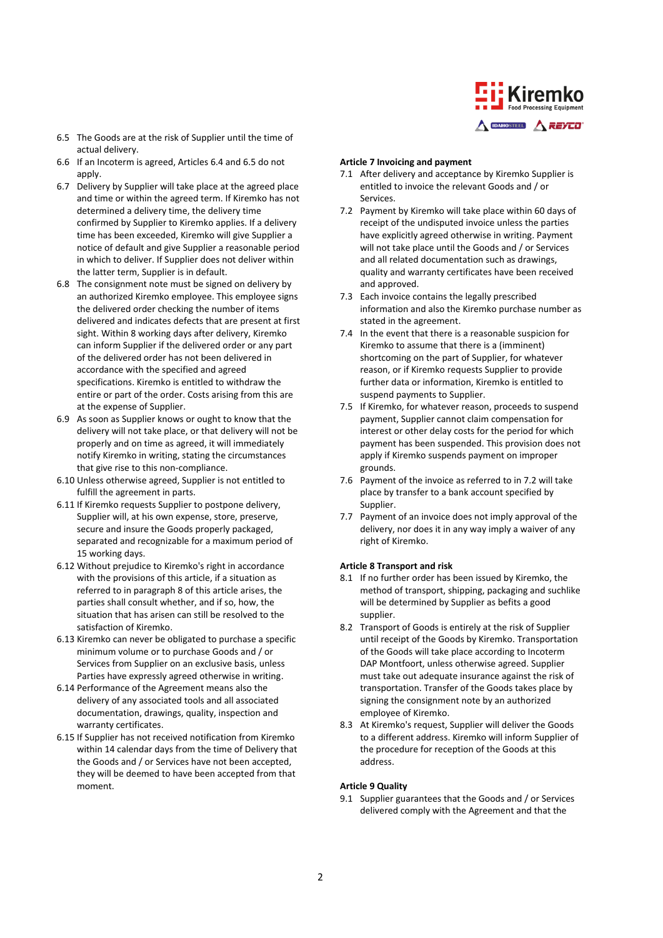

- 6.5 The Goods are at the risk of Supplier until the time of actual delivery.
- 6.6 If an Incoterm is agreed, Articles 6.4 and 6.5 do not apply.
- 6.7 Delivery by Supplier will take place at the agreed place and time or within the agreed term. If Kiremko has not determined a delivery time, the delivery time confirmed by Supplier to Kiremko applies. If a delivery time has been exceeded, Kiremko will give Supplier a notice of default and give Supplier a reasonable period in which to deliver. If Supplier does not deliver within the latter term, Supplier is in default.
- 6.8 The consignment note must be signed on delivery by an authorized Kiremko employee. This employee signs the delivered order checking the number of items delivered and indicates defects that are present at first sight. Within 8 working days after delivery, Kiremko can inform Supplier if the delivered order or any part of the delivered order has not been delivered in accordance with the specified and agreed specifications. Kiremko is entitled to withdraw the entire or part of the order. Costs arising from this are at the expense of Supplier.
- 6.9 As soon as Supplier knows or ought to know that the delivery will not take place, or that delivery will not be properly and on time as agreed, it will immediately notify Kiremko in writing, stating the circumstances that give rise to this non-compliance.
- 6.10 Unless otherwise agreed, Supplier is not entitled to fulfill the agreement in parts.
- 6.11 If Kiremko requests Supplier to postpone delivery, Supplier will, at his own expense, store, preserve, secure and insure the Goods properly packaged, separated and recognizable for a maximum period of 15 working days.
- 6.12 Without prejudice to Kiremko's right in accordance with the provisions of this article, if a situation as referred to in paragraph 8 of this article arises, the parties shall consult whether, and if so, how, the situation that has arisen can still be resolved to the satisfaction of Kiremko.
- 6.13 Kiremko can never be obligated to purchase a specific minimum volume or to purchase Goods and / or Services from Supplier on an exclusive basis, unless Parties have expressly agreed otherwise in writing.
- 6.14 Performance of the Agreement means also the delivery of any associated tools and all associated documentation, drawings, quality, inspection and warranty certificates.
- 6.15 If Supplier has not received notification from Kiremko within 14 calendar days from the time of Delivery that the Goods and / or Services have not been accepted, they will be deemed to have been accepted from that moment.

### **Article 7 Invoicing and payment**

- 7.1 After delivery and acceptance by Kiremko Supplier is entitled to invoice the relevant Goods and / or Services.
- 7.2 Payment by Kiremko will take place within 60 days of receipt of the undisputed invoice unless the parties have explicitly agreed otherwise in writing. Payment will not take place until the Goods and / or Services and all related documentation such as drawings, quality and warranty certificates have been received and approved.
- 7.3 Each invoice contains the legally prescribed information and also the Kiremko purchase number as stated in the agreement.
- 7.4 In the event that there is a reasonable suspicion for Kiremko to assume that there is a (imminent) shortcoming on the part of Supplier, for whatever reason, or if Kiremko requests Supplier to provide further data or information, Kiremko is entitled to suspend payments to Supplier.
- 7.5 If Kiremko, for whatever reason, proceeds to suspend payment, Supplier cannot claim compensation for interest or other delay costs for the period for which payment has been suspended. This provision does not apply if Kiremko suspends payment on improper grounds.
- 7.6 Payment of the invoice as referred to in 7.2 will take place by transfer to a bank account specified by Supplier.
- 7.7 Payment of an invoice does not imply approval of the delivery, nor does it in any way imply a waiver of any right of Kiremko.

#### **Article 8 Transport and risk**

- 8.1 If no further order has been issued by Kiremko, the method of transport, shipping, packaging and suchlike will be determined by Supplier as befits a good supplier.
- 8.2 Transport of Goods is entirely at the risk of Supplier until receipt of the Goods by Kiremko. Transportation of the Goods will take place according to Incoterm DAP Montfoort, unless otherwise agreed. Supplier must take out adequate insurance against the risk of transportation. Transfer of the Goods takes place by signing the consignment note by an authorized employee of Kiremko.
- 8.3 At Kiremko's request, Supplier will deliver the Goods to a different address. Kiremko will inform Supplier of the procedure for reception of the Goods at this address.

#### **Article 9 Quality**

9.1 Supplier guarantees that the Goods and / or Services delivered comply with the Agreement and that the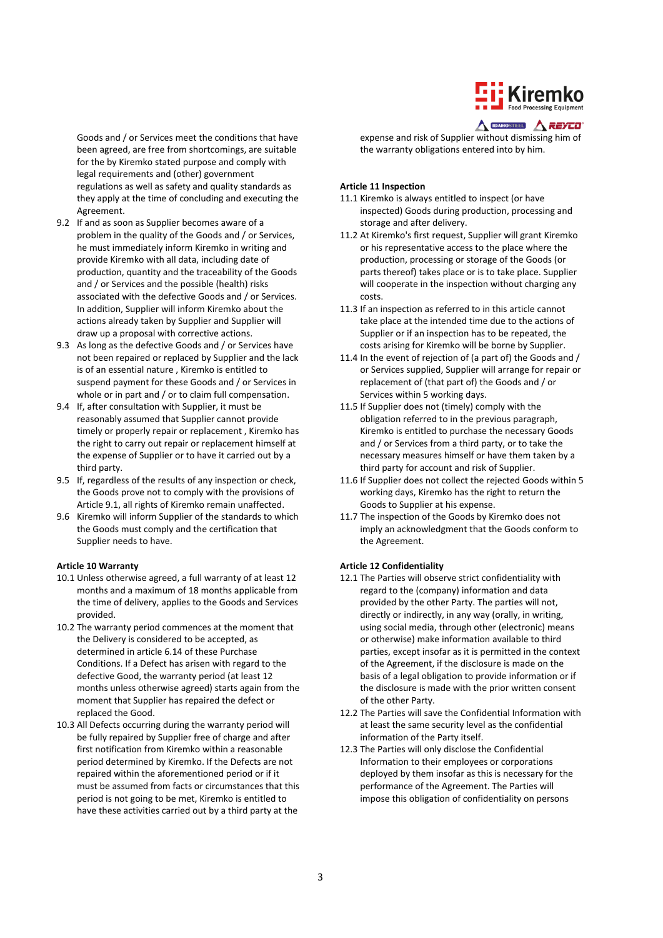

Goods and / or Services meet the conditions that have been agreed, are free from shortcomings, are suitable for the by Kiremko stated purpose and comply with legal requirements and (other) government regulations as well as safety and quality standards as they apply at the time of concluding and executing the Agreement.

- 9.2 If and as soon as Supplier becomes aware of a problem in the quality of the Goods and / or Services, he must immediately inform Kiremko in writing and provide Kiremko with all data, including date of production, quantity and the traceability of the Goods and / or Services and the possible (health) risks associated with the defective Goods and / or Services. In addition, Supplier will inform Kiremko about the actions already taken by Supplier and Supplier will draw up a proposal with corrective actions.
- 9.3 As long as the defective Goods and / or Services have not been repaired or replaced by Supplier and the lack is of an essential nature , Kiremko is entitled to suspend payment for these Goods and / or Services in whole or in part and / or to claim full compensation.
- 9.4 If, after consultation with Supplier, it must be reasonably assumed that Supplier cannot provide timely or properly repair or replacement , Kiremko has the right to carry out repair or replacement himself at the expense of Supplier or to have it carried out by a third party.
- 9.5 If, regardless of the results of any inspection or check, the Goods prove not to comply with the provisions of Article 9.1, all rights of Kiremko remain unaffected.
- 9.6 Kiremko will inform Supplier of the standards to which the Goods must comply and the certification that Supplier needs to have.

#### **Article 10 Warranty**

- 10.1 Unless otherwise agreed, a full warranty of at least 12 months and a maximum of 18 months applicable from the time of delivery, applies to the Goods and Services provided.
- 10.2 The warranty period commences at the moment that the Delivery is considered to be accepted, as determined in article 6.14 of these Purchase Conditions. If a Defect has arisen with regard to the defective Good, the warranty period (at least 12 months unless otherwise agreed) starts again from the moment that Supplier has repaired the defect or replaced the Good.
- 10.3 All Defects occurring during the warranty period will be fully repaired by Supplier free of charge and after first notification from Kiremko within a reasonable period determined by Kiremko. If the Defects are not repaired within the aforementioned period or if it must be assumed from facts or circumstances that this period is not going to be met, Kiremko is entitled to have these activities carried out by a third party at the

#### $\triangle$  DAHOSTERD  $\triangle$  REYCO'

expense and risk of Supplier without dismissing him of the warranty obligations entered into by him.

#### **Article 11 Inspection**

- 11.1 Kiremko is always entitled to inspect (or have inspected) Goods during production, processing and storage and after delivery.
- 11.2 At Kiremko's first request, Supplier will grant Kiremko or his representative access to the place where the production, processing or storage of the Goods (or parts thereof) takes place or is to take place. Supplier will cooperate in the inspection without charging any costs.
- 11.3 If an inspection as referred to in this article cannot take place at the intended time due to the actions of Supplier or if an inspection has to be repeated, the costs arising for Kiremko will be borne by Supplier.
- 11.4 In the event of rejection of (a part of) the Goods and / or Services supplied, Supplier will arrange for repair or replacement of (that part of) the Goods and / or Services within 5 working days.
- 11.5 If Supplier does not (timely) comply with the obligation referred to in the previous paragraph, Kiremko is entitled to purchase the necessary Goods and / or Services from a third party, or to take the necessary measures himself or have them taken by a third party for account and risk of Supplier.
- 11.6 If Supplier does not collect the rejected Goods within 5 working days, Kiremko has the right to return the Goods to Supplier at his expense.
- 11.7 The inspection of the Goods by Kiremko does not imply an acknowledgment that the Goods conform to the Agreement.

#### **Article 12 Confidentiality**

- 12.1 The Parties will observe strict confidentiality with regard to the (company) information and data provided by the other Party. The parties will not, directly or indirectly, in any way (orally, in writing, using social media, through other (electronic) means or otherwise) make information available to third parties, except insofar as it is permitted in the context of the Agreement, if the disclosure is made on the basis of a legal obligation to provide information or if the disclosure is made with the prior written consent of the other Party.
- 12.2 The Parties will save the Confidential Information with at least the same security level as the confidential information of the Party itself.
- 12.3 The Parties will only disclose the Confidential Information to their employees or corporations deployed by them insofar as this is necessary for the performance of the Agreement. The Parties will impose this obligation of confidentiality on persons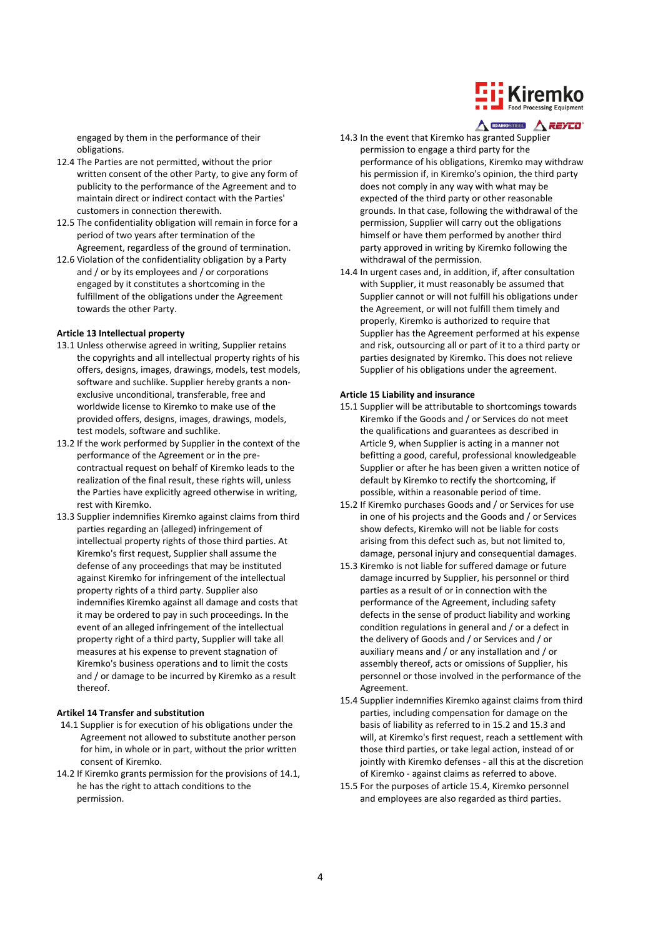

engaged by them in the performance of their obligations.

- 12.4 The Parties are not permitted, without the prior written consent of the other Party, to give any form of publicity to the performance of the Agreement and to maintain direct or indirect contact with the Parties' customers in connection therewith.
- 12.5 The confidentiality obligation will remain in force for a period of two years after termination of the Agreement, regardless of the ground of termination.
- 12.6 Violation of the confidentiality obligation by a Party and / or by its employees and / or corporations engaged by it constitutes a shortcoming in the fulfillment of the obligations under the Agreement towards the other Party.

#### **Article 13 Intellectual property**

- 13.1 Unless otherwise agreed in writing, Supplier retains the copyrights and all intellectual property rights of his offers, designs, images, drawings, models, test models, software and suchlike. Supplier hereby grants a nonexclusive unconditional, transferable, free and worldwide license to Kiremko to make use of the provided offers, designs, images, drawings, models, test models, software and suchlike.
- 13.2 If the work performed by Supplier in the context of the performance of the Agreement or in the precontractual request on behalf of Kiremko leads to the realization of the final result, these rights will, unless the Parties have explicitly agreed otherwise in writing, rest with Kiremko.
- 13.3 Supplier indemnifies Kiremko against claims from third parties regarding an (alleged) infringement of intellectual property rights of those third parties. At Kiremko's first request, Supplier shall assume the defense of any proceedings that may be instituted against Kiremko for infringement of the intellectual property rights of a third party. Supplier also indemnifies Kiremko against all damage and costs that it may be ordered to pay in such proceedings. In the event of an alleged infringement of the intellectual property right of a third party, Supplier will take all measures at his expense to prevent stagnation of Kiremko's business operations and to limit the costs and / or damage to be incurred by Kiremko as a result thereof.

#### **Artikel 14 Transfer and substitution**

- 14.1 Supplier is for execution of his obligations under the Agreement not allowed to substitute another person for him, in whole or in part, without the prior written consent of Kiremko.
- 14.2 If Kiremko grants permission for the provisions of 14.1, he has the right to attach conditions to the permission.
- $\triangle$  DAHOSTERD  $\triangle$  REYCO'
- 14.3 In the event that Kiremko has granted Supplier permission to engage a third party for the performance of his obligations, Kiremko may withdraw his permission if, in Kiremko's opinion, the third party does not comply in any way with what may be expected of the third party or other reasonable grounds. In that case, following the withdrawal of the permission, Supplier will carry out the obligations himself or have them performed by another third party approved in writing by Kiremko following the withdrawal of the permission.
- 14.4 In urgent cases and, in addition, if, after consultation with Supplier, it must reasonably be assumed that Supplier cannot or will not fulfill his obligations under the Agreement, or will not fulfill them timely and properly, Kiremko is authorized to require that Supplier has the Agreement performed at his expense and risk, outsourcing all or part of it to a third party or parties designated by Kiremko. This does not relieve Supplier of his obligations under the agreement.

#### **Article 15 Liability and insurance**

- 15.1 Supplier will be attributable to shortcomings towards Kiremko if the Goods and / or Services do not meet the qualifications and guarantees as described in Article 9, when Supplier is acting in a manner not befitting a good, careful, professional knowledgeable Supplier or after he has been given a written notice of default by Kiremko to rectify the shortcoming, if possible, within a reasonable period of time.
- 15.2 If Kiremko purchases Goods and / or Services for use in one of his projects and the Goods and / or Services show defects, Kiremko will not be liable for costs arising from this defect such as, but not limited to, damage, personal injury and consequential damages.
- 15.3 Kiremko is not liable for suffered damage or future damage incurred by Supplier, his personnel or third parties as a result of or in connection with the performance of the Agreement, including safety defects in the sense of product liability and working condition regulations in general and / or a defect in the delivery of Goods and / or Services and / or auxiliary means and / or any installation and / or assembly thereof, acts or omissions of Supplier, his personnel or those involved in the performance of the Agreement.
- 15.4 Supplier indemnifies Kiremko against claims from third parties, including compensation for damage on the basis of liability as referred to in 15.2 and 15.3 and will, at Kiremko's first request, reach a settlement with those third parties, or take legal action, instead of or jointly with Kiremko defenses - all this at the discretion of Kiremko - against claims as referred to above.
- 15.5 For the purposes of article 15.4, Kiremko personnel and employees are also regarded as third parties.